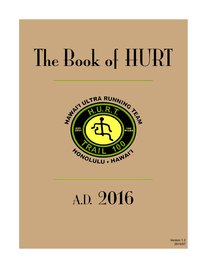# The Book of HURT



# A.D. 2016

Version 1.2 2015/07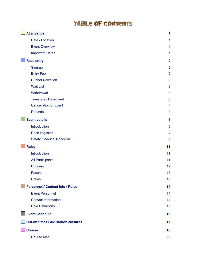### TABLE OF CONTENTS

| At a glance                                 | 1                       |
|---------------------------------------------|-------------------------|
| Date / Location                             | 1                       |
| <b>Event Overview</b>                       | 1                       |
| <b>Important Dates</b>                      | 1                       |
| <b>Race entry</b>                           | $\overline{2}$          |
| Sign-up                                     | $\overline{2}$          |
| <b>Entry Fee</b>                            | $\overline{2}$          |
| <b>Runner Selection</b>                     | $\overline{2}$          |
| <b>Wait List</b>                            | 3                       |
| Withdrawal                                  | 3                       |
| <b>Transfers / Deferment</b>                | 3                       |
| <b>Cancellation of Event</b>                | $\overline{4}$          |
| Refunds                                     | $\overline{\mathbf{4}}$ |
| <b>Event details</b>                        | 5                       |
| Introduction                                | 5                       |
| <b>Race Logistics</b>                       | $\overline{7}$          |
| <b>Safety / Medical Concerns</b>            | 9                       |
| <b>Rules</b>                                | 11                      |
| Introduction                                | 11                      |
| <b>All Participants</b>                     | 11                      |
| <b>Runners</b>                              | 12                      |
| Pacers                                      | 13                      |
| <b>Crews</b>                                | 13                      |
| <b>Personnel / Contact Info / Roles</b>     | 14                      |
| <b>Event Personnel</b>                      | 14                      |
| <b>Contact Information</b>                  | 14                      |
| <b>Role Definitions</b>                     | 15                      |
| <b>Event Schedule</b>                       | 16                      |
| <b>Cut-off times / Aid station closures</b> | 17                      |
| <b>Course</b>                               | 18                      |
| <b>Course Map</b>                           | 20                      |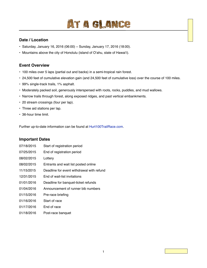## AT A GLANCE

#### <span id="page-2-1"></span><span id="page-2-0"></span>**Date / Location**

- Saturday, January 16, 2016 (06:00) − Sunday, January 17, 2016 (18:00).
- Mountains above the city of Honolulu (island of O'ahu, state of Hawai'i).

#### <span id="page-2-2"></span>**Event Overview**

- 100 miles over 5 laps (partial out and backs) in a semi-tropical rain forest.
- 24,500 feet of cumulative elevation gain (and 24,500 feet of cumulative loss) over the course of 100 miles.
- 99% single-track trails, 1% asphalt.
- Moderately packed soil, generously interspersed with roots, rocks, puddles, and mud wallows.
- Narrow trails through forest, along exposed ridges, and past vertical embankments.
- 20 stream crossings (four per lap).
- Three aid stations per lap.
- 36-hour time limit.

Further up-to-date information can be found at [Hurt100TrailRace.com.](http://www.hurt100trailrace.com)

#### <span id="page-2-3"></span>**Important Dates**

| 07/18/2015 | Start of registration period              |
|------------|-------------------------------------------|
| 07/25/2015 | End of registration period                |
| 08/02/2015 | Lottery                                   |
| 08/02/2015 | Entrants and wait list posted online      |
| 11/15/2015 | Deadline for event withdrawal with refund |
| 12/31/2015 | End of wait-list invitations              |
| 01/01/2016 | Deadline for banquet-ticket refunds       |
| 01/04/2016 | Announcement of runner bib numbers        |
| 01/15/2016 | Pre-race briefing                         |
| 01/16/2016 | Start of race                             |
| 01/17/2016 | End of race                               |
| 01/18/2016 | Post-race banquet                         |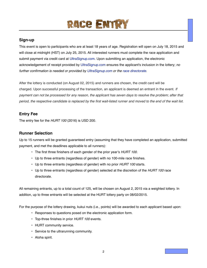## **RACE ENTR**

#### <span id="page-3-1"></span><span id="page-3-0"></span>**Sign-up**

This event is open to participants who are at least 18 years of age. Registration will open on July 18, 2015 and will close at midnight (HST) on July 25, 2015. All interested runners must complete the race application and submit payment via credit card at [UltraSignup.com](http://ultrasignup.com/). Upon submitting an application, the electronic acknowledgement of receipt provided by [UltraSignup.com](http://ultrasignup.com/) ensures the applicant's inclusion in the lottery; *no further confirmation is needed or provided by [UltraSignup.com](http://ultrasignup.com/) or the [race directorate](#page-15-1)*.

After the lottery is conducted (on August 02, 2015) and runners are chosen, the credit card will be charged. Upon successful processing of the transaction, an applicant is deemed an entrant in the event. *If payment can not be processed for any reason, the applicant has seven days to resolve the problem; after that period, the respective candidate is replaced by the first wait-listed runner and moved to the end of the wait list.*

#### <span id="page-3-2"></span>**Entry Fee**

The entry fee for the *HURT 100* (2016) is USD 200.

#### <span id="page-3-3"></span>**Runner Selection**

Up to 15 runners will be granted guaranteed entry (assuming that they have completed an application, submitted payment, and met the deadlines applicable to all runners):

- The first three finishers of each gender of the prior year's *HURT 100*.
- Up to three entrants (regardless of gender) with no 100-mile race finishes.
- Up to three entrants (regardless of gender) with no prior *HURT 100* starts.
- Up to three entrants (regardless of gender) selected at the discretion of the *HURT 100* race directorate.

All remaining entrants, up to a total count of 125, will be chosen on August 2, 2015 via a weighted lottery. In addition, up to three entrants will be selected at the HURT lottery party on 08/02/2015.

For the purpose of the lottery drawing, kukui nuts (i.e., points) will be awarded to each applicant based upon:

- Responses to questions posed on the electronic application form.
- Top-three finishes in prior *HURT 100* events.
- HURT community service.
- Service to the ultrarunning community.
- Aloha spirit.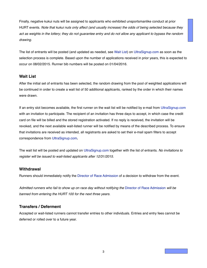Finally, negative kukui nuts will be assigned to applicants who exhibited unsportsmanlike conduct at prior HURT events. *Note that kukui nuts only affect (and usually increase) the odds of being selected because they act as weights in the lottery; they do not guarantee entry and do not allow any applicant to bypass the random drawing.*

The list of entrants will be posted (and updated as needed, see [Wait List\)](#page-4-0) on [UltraSignup.com](http://ultrasignup.com/) as soon as the selection process is complete. Based upon the number of applications received in prior years, this is expected to occur on 08/02/2015. Runner bib numbers will be posted on 01/04/2016.

#### <span id="page-4-0"></span>**Wait List**

After the initial set of entrants has been selected, the random drawing from the pool of weighted applications will be continued in order to create a wait list of 50 additional applicants, ranked by the order in which their names were drawn.

If an entry slot becomes available, the first runner on the wait list will be notified by e-mail from [UltraSignup.com](http://ultrasignup.com/) with an invitation to participate. The recipient of an invitation has three days to accept, in which case the credit card on file will be billed and the stored registration activated. If no reply is received, the invitation will be revoked, and the next available wait-listed runner will be notified by means of the described process. To ensure that invitations are received as intended, all registrants are asked to set their e-mail spam filters to accept correspondence from [UltraSignup.com](http://ultrasignup.com/)**.**

The wait list will be posted and updated on [UltraSignup.com](http://ultrasignup.com/) together with the list of entrants. *No invitations to register will be issued to wait-listed applicants after 12/31/2015.*

#### <span id="page-4-1"></span>**Withdrawal**

Runners should immediately notify the [Director of Race Admission](#page-15-1) of a decision to withdraw from the event.

*Admitted runners who fail to show up on race day without notifying the* [Director of Race Admission](#page-15-1) *will be banned from entering the HURT 100 for the next three years.*

#### <span id="page-4-2"></span>**Transfers / Deferment**

Accepted or wait-listed runners cannot transfer entries to other individuals. Entries and entry fees cannot be deferred or rolled over to a future year.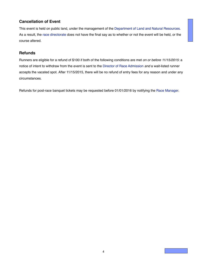#### <span id="page-5-0"></span>**Cancellation of Event**

This event is held on public land, under the management of the [Department of Land and Natural Resources.](http://hawaii.gov/dlnr/) As a result, the [race directorate](#page-15-1) does not have the final say as to whether or not the event will be held, or the course altered.

#### <span id="page-5-1"></span>**Refunds**

Runners are eligible for a refund of \$100 if both of the following conditions are met *on or before 11/15/2015*: a notice of intent to withdraw from the event is sent to the [Director of Race Admission](#page-15-1) *and* a wait-listed runner accepts the vacated spot. After 11/15/2015, there will be no refund of entry fees for any reason and under any circumstances.

Refunds for post-race banquet tickets may be requested before 01/01/2016 by notifying the [Race Manager.](#page-15-1)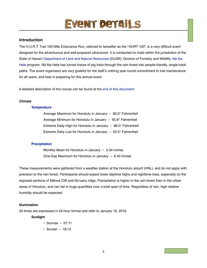## EVENT DETAILS

#### <span id="page-6-1"></span><span id="page-6-0"></span>**Introduction**

The H.U.R.T. Trail 100-Mile Endurance Run, referred to hereafter as the "*HURT 100*", is a very difficult event designed for the adventurous and well-prepared ultrarunner. It is conducted on trails within the jurisdiction of the State of Hawai'i [Department of Land and Natural Resources](http://hawaii.gov/dlnr/) (DLNR), Division of Forestry and Wildlife, Nā [Ala](http://hawaiitrails.ehawaii.gov/)  [Hele](http://hawaiitrails.ehawaii.gov/) program. Nā Ala Hele has turned traces of pig trails through the rain forest into people-friendly, single-track paths. The event organizers are very grateful for the staff's untiring year-round commitment to trail maintenance for all users, and help in preparing for this annual event.

A detailed description of the course can be found at the [end of this document](#page-19-0).

#### **Climate**

#### **[Temperature](http://www.wrcc.dri.edu/cgi-bin/cliGCStT.pl?hihono)**

Average Maximum for Honolulu in January - 80.0° Fahrenheit Average Minimum for Honolulu in January  $-65.8^{\circ}$  Fahrenheit Extreme Daily High for Honolulu in January  $-88.0^{\circ}$  Fahrenheit Extreme Daily Low for Honolulu in January  $-52.0^{\circ}$  Fahrenheit

#### **[Precipitation](http://www.wrcc.dri.edu/cgi-bin/cliGCStP.pl?hihono)**

Monthly Mean for Honolulu in January  $-$  3.34 inches One-Day Maximum for Honolulu in January  $-6.40$  inches

These measurements were gathered from a weather station at the Honolulu airport (HNL), and do not apply with precision to the rain forest. Participants should expect lower daytime highs and nighttime lows, especially on the exposed sections of Mānoa Cliff and Nu'uanu ridge. Precipitation is higher in the rain forest than in the urban areas of Honolulu, and can fall in huge quantities over a brief span of time. Regardless of rain, high relative humidity should be expected.

#### <span id="page-6-2"></span>**Illumination**

All times are expressed in 24-hour format and refer to January 16, 2016.

#### **Sunlight**

- $\cdot$  Sunrise 07:11
- Sunset 18:12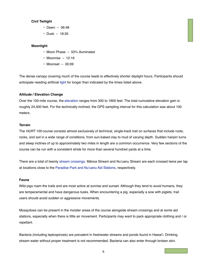#### **Civil Twilight**

- $\cdot$  Dawn 06:48
- $\cdot$  Dusk 18:35

#### **Moonlight**

- Moon Phase 53% illuminated
- Moonrise  $-12:16$
- Moonset 00:09

The dense canopy covering much of the course leads to effectively shorter daylight hours. Participants should anticipate needing artificial [light](#page-11-0) for longer than indicated by the times listed above.

#### **Altitude / Elevation Change**

Over the 100-mile course, the [elevation](#page-21-1) ranges from 300 to 1900 feet. The total cumulative elevation gain is roughly 24,500 feet. For the technically inclined, the GPS sampling interval for this calculation was about 100 meters.

#### **Terrain**

The *HURT 100* course consists almost exclusively of technical, single-track trail on surfaces that include roots, rocks, and soil in a wide range of conditions, from sun-baked clay to mud of varying depth. Sudden hairpin turns and steep inclines of up to approximately two miles in length are a common occurrence. Very few sections of the course can be run with a consistent stride for more than several hundred yards at a time.

There are a total of twenty [stream crossings](#page-21-0). Mānoa Stream and Nu'uanu Stream are each crossed twice per lap at locations close to the [Paradise Park and Nu'uanu Aid Stations,](#page-21-0) respectively.

#### **Fauna**

Wild pigs roam the trails and are most active at sunrise and sunset. Although they tend to avoid humans, they are temperamental and have dangerous tusks. When encountering a pig, especially a sow with piglets, trail users should avoid sudden or aggressive movements.

Mosquitoes can be present in the moister areas of the course alongside stream crossings and at some aid stations, especially when there is little air movement. Participants may want to pack appropriate clothing and / or repellant.

Bacteria (including leptospirosis) are prevalent in freshwater streams and ponds found in Hawai'i. Drinking stream water without proper treatment is not recommended. Bacteria can also enter through broken skin.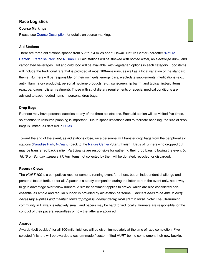#### <span id="page-8-0"></span>**Race Logistics**

#### **Course Markings**

Please see [Course Description](#page-19-0) for details on course marking.

#### <span id="page-8-1"></span>**Aid Stations**

There are three aid stations spaced from 5.2 to 7.4 miles apart: Hawai'i Nature Center (hereafter "[Nature](#page-21-0)  [Center"](#page-21-0)), [Paradise Park,](#page-21-0) and [Nu'uanu](#page-21-0). All aid stations will be stocked with bottled water, an electrolyte drink, and carbonated beverages. Hot and cold food will be available, with vegetarian options in each category. Food items will include the traditional fare that is provided at most 100-mile runs, as well as a local variation of the standard theme. Runners will be responsible for their own gels, energy bars, electrolyte supplements, medications (e.g., anti-inflammatory products), personal hygiene products (e.g., sunscreen, lip balm), and typical first-aid items (e.g., bandages, blister treatment). Those with strict dietary requirements or special medical conditions are advised to pack needed items in personal drop bags.

#### <span id="page-8-2"></span>**Drop Bags**

Runners may have personal supplies at any of the three aid stations. Each aid station will be visited five times, so attention to resource planning is important. Due to space limitations and to facilitate handling, the size of drop bags is limited, as detailed in [Rules.](#page-12-0)

Toward the end of the event, as aid stations close, race personnel will transfer drop bags from the peripheral aid stations [\(Paradise Park](#page-21-0), [Nu'uanu\)](#page-21-0) back to the [Nature Center](#page-21-0) (Start / Finish). Bags of runners who dropped out may be transferred back earlier. Participants are responsible for gathering their drop bags following the event *by 18:15 on Sunday, January 17*. Any items not collected by then will be donated, recycled, or discarded.

#### **Pacers / Crews**

The *HURT 100* is a competitive race for some, a running event for others, but an independent challenge and personal test of fortitude for all. A pacer is a safety companion during the latter part of the event only, not a way to gain advantage over fellow runners. A similar sentiment applies to crews, which are also considered nonessential as ample and regular support is provided by aid-station personnel. *Runners need to be able to carry necessary supplies and maintain forward progress independently, from start to finish.* Note: The ultrarunning community in Hawai'i is relatively small, and pacers may be hard to find locally. Runners are responsible for the conduct of their pacers, regardless of how the latter are acquired.

#### **Awards**

Awards (belt buckles) for all 100-mile finishers will be given immediately at the time of race completion. Five selected finishers will be awarded a custom-made / custom-fitted HURT belt to complement their new buckle.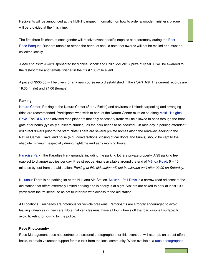Recipients will be announced at the HURT banquet. Information on how to order a wooden finisher's plaque will be provided at the finish line.

The first three finishers of each gender will receive event-specific trophies at a ceremony during the [Post-](#page-17-0)[Race Banquet](#page-17-0). Runners unable to attend the banquet should note that awards will not be mailed and must be collected locally.

*Aleca and Tonto Award*, sponsored by Monica Scholz and Philip McColl: A prize of \$250.00 will be awarded to the fastest male and female finisher in their first 100-mile event.

A prize of \$500.00 will be given for any new course record established in the *HURT 100*. The current records are 19:35 (male) and 24:06 (female).

#### <span id="page-9-0"></span>**Parking**

[Nature Center:](#page-21-0) Parking at the Nature Center (Start / Finish) and environs is limited; carpooling and arranging rides are recommended. Participants who wish to park at the Nature Center must do so along [Makiki Heights](http://maps.google.com/maps/ms?ie=UTF&msa=0&msid=208078662794040507915.0004a74e3e82f3bd15560)  [Drive](http://maps.google.com/maps/ms?ie=UTF&msa=0&msid=208078662794040507915.0004a74e3e82f3bd15560). The [DLNR](http://hawaii.gov/dlnr/) has advised race planners that only necessary traffic will be allowed to pass through the front gate after hours (typically sunset to sunrise), as the park needs to be secured. On race day, a parking attendant will direct drivers prior to the start. Note: There are several private homes along the roadway leading to the Nature Center. Travel and noise (e.g., conversations, closing of car doors and trunks) should be kept to the absolute minimum, especially during nighttime and early morning hours.

[Paradise Park:](#page-21-0) The Paradise Park grounds, including the parking lot, are private property. A \$5 parking fee (subject to change) applies per day. Free street parking is available around the end of Mā[noa Road,](http://maps.google.com/maps/ms?ie=UTF&msa=0&msid=208078662794040507915.0004a74e3e82f3bd15560) 5 − 10 minutes by foot from the aid station. *Parking at this aid station will not be allowed until after 09:00 on Saturday.*

[Nu'uanu:](#page-21-0) There is no parking lot at the Nu'uanu Aid Station. [Nu'uanu Pali Drive](http://maps.google.com/maps/ms?ie=UTF&msa=0&msid=208078662794040507915.0004a74e3e82f3bd15560) is a narrow road adjacent to the aid station that offers extremely limited parking and is poorly lit at night. Visitors are asked to park at least 100 yards from the trailhead, so as not to interfere with access to the aid station.

All Locations: Trailheads are notorious for vehicle break-ins. Participants are strongly encouraged to avoid leaving valuables in their cars. Note that vehicles must have all four wheels off the road (asphalt surface) to avoid ticketing or towing by the police.

#### **Race Photography**

Race Management does not contract professional photographers for this event but will attempt, on a best-effort basis, to obtain volunteer support for this task from the local community. When available, a [race photographer](#page-15-1)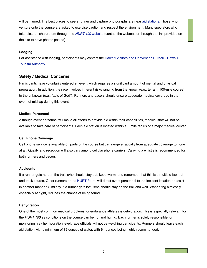will be named. The best places to see a runner and capture photographs are near [aid stations](#page-8-1). Those who venture onto the course are asked to exercise caution and respect the environment. Many spectators who take pictures share them through the *[HURT 100](http://www.hurt100trailrace.com/)* website (contact the webmaster through the link provided on the site to have photos posted).

#### **Lodging**

For assistance with lodging, participants may contact the [Hawai'i Visitors and Convention Bureau - Hawai'i](http://www.gohawaii.com/)  [Tourism Authority.](http://www.gohawaii.com/)

#### <span id="page-10-0"></span>**Safety / Medical Concerns**

Participants have voluntarily entered an event which requires a significant amount of mental and physical preparation. In addition, the race involves inherent risks ranging from the known (e.g., terrain, 100-mile course) to the unknown (e.g., "acts of God"). Runners and pacers should ensure adequate medical coverage in the event of mishap during this event.

#### **Medical Personnel**

Although event personnel will make all efforts to provide aid within their capabilities, medical staff will not be available to take care of participants. Each aid station is located within a 5-mile radius of a major medical center.

#### **Cell Phone Coverage**

Cell phone service is available on parts of the course but can range erratically from adequate coverage to none at all. Quality and reception will also vary among cellular phone carriers. Carrying a whistle is recommended for both runners and pacers.

#### **Accidents**

If a runner gets hurt on the trail, s/he should stay put, keep warm, and remember that this is a multiple-lap, out and back course. Other runners or the [HURT Patrol](#page-16-1) will direct event personnel to the incident location or assist in another manner. Similarly, if a runner gets lost, s/he should stay on the trail and wait. Wandering aimlessly, especially at night, reduces the chance of being found.

#### **Dehydration**

One of the most common medical problems for endurance athletes is dehydration. This is especially relevant for the *HURT 100* as conditions on the course can be hot and humid. Each runner is solely responsible for monitoring his / her hydration level**;** race officials will not be weighing participants. Runners should leave each aid station with a minimum of 32 ounces of water, with 64 ounces being highly recommended.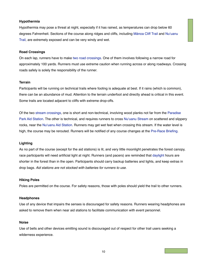#### **Hypothermia**

Hypothermia may pose a threat at night, especially if it has rained, as temperatures can drop below 60 degrees Fahrenheit. Sections of the course along ridges and cliffs, including Mā[noa Cliff Trail](#page-21-0) and [Nu'uanu](#page-21-0)  [Trail,](#page-21-0) are extremely exposed and can be very windy and wet.

#### **Road Crossings**

On each lap, runners have to make [two road crossings](#page-21-0). One of them involves following a narrow road for approximately 100 yards. Runners must use extreme caution when running across or along roadways. Crossing roads safely is solely the responsibility of the runner.

#### **Terrain**

Participants will be running on technical trails where footing is adequate at best. If it rains (which is common), there can be an abundance of mud. Attention to the terrain underfoot and directly ahead is critical in this event. Some trails are located adjacent to cliffs with extreme drop-offs.

Of the two [stream crossings,](#page-21-0) one is short and non-technical, involving wood planks not far from the [Paradise](#page-21-0)  [Park Aid Station.](#page-21-0) The other is technical, and requires runners to cross [Nu'uanu Stream](#page-21-0) on scattered and slippery rocks, near the [Nu'uanu Aid Station](#page-21-0). Runners may get wet feet when crossing this stream. If the water level is high, the course may be rerouted. Runners will be notified of any course changes at the [Pre-Race Briefing](#page-17-1).

#### <span id="page-11-0"></span>**Lighting**

As no part of the course (except for the aid stations) is lit, and very little moonlight penetrates the forest canopy, race participants will need artificial light at night. Runners (and pacers) are reminded that [daylight](#page-6-2) hours are shorter in the forest than in the open. Participants should carry backup batteries and lights, and keep extras in drop bags. *Aid stations are not stocked with batteries for runners to use.*

#### **Hiking Poles**

Poles are permitted on the course. For safety reasons, those with poles should yield the trail to other runners.

#### **Headphones**

Use of any device that impairs the senses is discouraged for safety reasons. Runners wearing headphones are asked to remove them when near aid stations to facilitate communication with event personnel.

#### **Noise**

Use of bells and other devices emitting sound is discouraged out of respect for other trail users seeking a wilderness experience.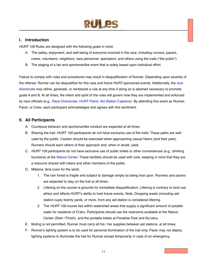

#### <span id="page-12-1"></span><span id="page-12-0"></span>**I. Introduction**

*HURT 100* Rules are designed with the following goals in mind:

- A. The safety, enjoyment, and well-being of everyone involved in the race, including runners, pacers, crews, volunteers, neighbors, race personnel, spectators, and others using the trails ("the public").
- B. The staging of a fair and sportsmanlike event that is solely based upon individual effort.

Failure to comply with rules and procedures may result in disqualification of Runner. Depending upon severity of the offense, Runner can be disqualified for this race and future HURT-sponsored events. Additionally, the [race](#page-15-1)  [directorate](#page-15-1) may refine, generate, or reinterpret a rule at any time if doing so is deemed necessary to promote goals A and B. At all times, the intent and spirit of the rules will govern how they are implemented and enforced by race officials (e.g., [Race Directorate,](#page-15-1) [HURT Patrol,](#page-16-1) [Aid Station Captains](#page-16-2)). By attending this event as Runner, Pacer, or Crew, each participant acknowledges and agrees with this sentiment.

#### <span id="page-12-2"></span>**II. All Participants**

- A. Courteous behavior and sportsmanlike conduct are expected at all times.
- B. Sharing the trail: *HURT 100 participants do not have exclusive use of the trails*. These paths are well used by the public. Caution should be exercised when approaching casual hikers (and their pets). Runners should warn others of their approach and, when in doubt, yield.
- C. *HURT 100* participants do not have exclusive use of public toilets or other conveniences (e.g., drinking fountains) at the [Nature Center](#page-21-0). These facilities should be used with care, keeping in mind that they are a resource shared with hikers and other members of the public.
- D. Mālama 'āina (care for the land).
	- 1. The rain forest is fragile and subject to damage simply by being trod upon. Runners and pacers are expected to stay on the trail at all times.
	- 2. Littering on the course is grounds for immediate disqualification. Littering is contrary to land use ethics and affects HURT's ability to hold future events. Note: Dropping waste (including aidstation cups) twenty yards, or more, from any aid station is considered littering.
	- 3. The *HURT 100* course lies within watershed areas that supply a significant amount of potable water for residents of O'ahu. Participants should use the restrooms available at the Nature Center (Start / Finish), and the portable toilets at Paradise Park and Nu'uanu.
- E. Muling is not permitted. Runner must carry all his / her supplies between aid stations, at all times.
- F. Runner's lighting system is to be used for personal illumination of the trail only. Pacer may not deploy lighting systems to illuminate the trail for Runner except temporarily in case of an emergency.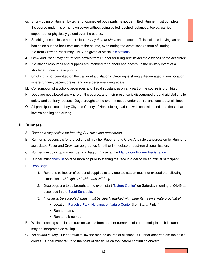- G. Short-roping of Runner, by tether or connected body parts, is not permitted. Runner must complete the course under his or her own power without being pulled, pushed, balanced, towed, carried, supported, or physically guided over the course.
- H. Stashing of supplies is not permitted *at any time or place* on the course. This includes leaving water bottles on out and back sections of the course, even during the event itself (a form of littering).
- I. Aid from Crew or Pacer may ONLY be given at official [aid stations.](#page-8-1)
- J. Crew and Pacer may not retrieve bottles from Runner for filling *until within the confines of the aid station.*
- K. Aid-station resources and supplies are intended for runners and pacers. In the unlikely event of a shortage, runners have priority.
- L. Smoking is not permitted on the trail or at aid stations. Smoking is strongly discouraged at any location where runners, pacers, crews, and race personnel congregate.
- M. Consumption of alcoholic beverages and illegal substances on any part of the course is prohibited.
- N. Dogs are not allowed anywhere on the course, and their presence is discouraged around aid stations for safety and sanitary reasons. Dogs brought to the event must be under control and leashed at all times.
- O. All participants must obey City and County of Honolulu regulations, with special attention to those that involve parking and driving.

#### <span id="page-13-0"></span>**III. Runners**

- A. *Runner is responsible for knowing ALL rules and procedures.*
- B. Runner is responsible for the actions of his / her Pacer(s) and Crew. Any rule transgression by Runner or associated Pacer and Crew can be grounds for either immediate or post-run disqualification.
- C. Runner must pick up run number and bag on Friday at the [Mandatory Runner Registration](#page-17-2).
- D. Runner must [check in](#page-17-3) on race morning prior to starting the race in order to be an official participant.
- E. [Drop Bags](#page-8-2)
	- 1. Runner's collection of personal supplies at any one aid station must not exceed the following dimensions: *18" high, 18" wide, and 24" long*.
	- 2. Drop bags are to be brought to the event start [\(Nature Center\)](#page-21-0) on Saturday morning at 04:45 as described in the [Event Schedule](#page-17-0).
	- 3. *In order to be accepted, bags must be clearly marked with three items on a waterproof label:*
		- Location: [Paradise Park, Nu'uanu, or Nature Center](#page-21-0) (i.e., Start / Finish)
		- Runner name
		- Runner bib number
- F. While accepting supplies on rare occasions from another runner is tolerated, multiple such instances may be interpreted as muling.
- G. *No course cutting.* Runner must follow the marked course at all times. If Runner departs from the official course, Runner must return to the point of departure on foot before continuing onward.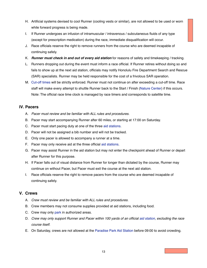- H. Artificial systems devised to cool Runner (cooling vests or similar), are not allowed to be used or worn while forward progress is being made.
- I. If Runner undergoes an infusion of intramuscular / intravenous / subcutaneous fluids of any type (except for prescription medication) during the race, immediate disqualification will occur.
- J. Race officials reserve the right to remove runners from the course who are deemed incapable of continuing safely.
- K. *Runner must check in and out of every aid station* for reasons of safety and timekeeping / tracking.
- L. Runners dropping out during the event must inform a race official. If Runner retires without doing so and fails to show up at the next aid station, officials may notify Honolulu Fire Department Search and Rescue (SAR) specialists. Runner may be held responsible for the cost of a frivolous SAR operation.
- M. [Cut-off times](#page-18-0) will be strictly enforced. Runner must not continue on after exceeding a cut-off time. Race staff will make every attempt to shuttle Runner back to the Start / Finish [\(Nature Center](#page-21-0)) if this occurs. Note: The official race time clock is managed by race timers and corresponds to satellite time.

#### <span id="page-14-0"></span>**IV. Pacers**

- A. *Pacer must review and be familiar with ALL rules and procedures.*
- B. Pacer may start accompanying Runner after 60 miles, or starting at 17:00 on Saturday.
- C. Pacer must start pacing duty at one of the three [aid stations.](#page-8-1)
- D. Pacer will not be assigned a bib number and will not be tracked.
- E. Only one pacer is allowed to accompany a runner at a time.
- F. Pacer may only receive aid at the three official [aid stations.](#page-8-1)
- G. Pacer may assist Runner in the aid station but may not enter the checkpoint ahead of Runner or depart after Runner for this purpose.
- H. If Pacer falls out of visual distance from Runner for longer than dictated by the course, Runner may continue on without Pacer, but Pacer must exit the course at the next aid station.
- I. Race officials reserve the right to remove pacers from the course who are deemed incapable of continuing safely.

#### <span id="page-14-1"></span>**V. Crews**

- A. *Crew must review and be familiar with ALL rules and procedures.*
- B. Crew members may not consume supplies provided at aid stations, including food.
- C. Crew may only [park](#page-9-0) in authorized areas.
- D. *Crew may only support Runner and Pacer within 100 yards of an official [aid station](#page-8-1), excluding the race course itself*.
- E. On Saturday, crews are not allowed at the [Paradise Park Aid Station](#page-21-0) before 09:00 to avoid crowding.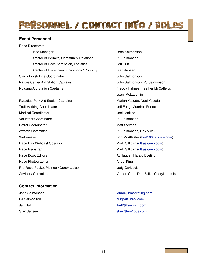### <span id="page-15-0"></span>PRSONNEL / CONTACT INFO / ROLES

#### <span id="page-15-1"></span>**Event Personnel**

Race Directorate Race Manager **Internal Studies and Science Manager** 3 and 3 John Salmonson Director of Permits, Community Relations **1998** PJ Salmonson Director of Race Admission, Logistics **1988 1998 1998 1999 1999 1999 1999** Jeff Huff Director of Race Communications / Publicity Stan Jensen Start / Finish Line Coordinator! ! ! ! ! John Salmonson Nature Center Aid Station Captains! ! ! ! John Salmonson, PJ Salmonson Nu'uanu Aid Station Captains **Internal and Station Captains** Preddy Halmes, Heather McCafferty,

Paradise Park Aid Station Captains **1988 1999 12:33 Marian Yasuda, Neal Yasuda** Trail Marking Coordinator**!! !** ! ! Jeff Fong, Mauricio Puerto Medical Coordinator **1999 International Coordinator 1999 International International International International International International International International International International International Inter** Volunteer Coordinator **1999** Volunteer Coordinator **1999** Volunteer Coordinator Patrol Coordinator **Patrol Coordinator 1999** Awards Committee **1990 Exercise 20 and 20 and 20 and 20 and 20 and 20 and 20 and 20 and 20 and 20 and 20 and 20 and 20 and 20 and 20 and 20 and 20 and 20 and 20 and 20 and 20 and 20 and 20 and 20 and 20 and 20 and 20 and 2** Webmaster **1988** Webmaster [\(hurt100trailrace.com](http://www.hurt100trailrace.com)) Race Day Webcast Operator **1988** Nark Gilligan [\(ultrasignup.com\)](http://ultrasignup.com/) Race Registrar **In the Compact Compact Compact Compact Compact Compact Compact Compact Compact Compact Compact Compact Compact Compact Compact Compact Compact Compact Compact Compact Compact Compact Compact Compact Compact** Race Book Editors **In the State of the Contract Exercise AJ Tauber, Harald Ebeling** Race Photographer **1999** November 2008 November 2009 November 2009 November 2009 November 2009 November 2009 November 2009 November 2009 November 2009 November 2009 November 2009 November 2009 November 2009 November 2009 N Pre-Race Packet Pick-up / Donor Liaison | Judy Carluccio Advisory Committee *Advisory Committee* 1

#### <span id="page-15-2"></span>**Contact Information**

Joani McLaughlin

John Salmonson! ! ! ! ! ! [john@j-bmarketing.com](mailto:john@j-bmarketing.com) PJ Salmonson **PU Salmonson PU Salmonson** Jeff Huff! ! ! ! ! ! ! [jhuff@hawaii.rr.com](mailto:jhuff@hawaii.rr.com) Stan Jensen! ! ! ! ! ! ! [stanj@run100s.com](mailto:stanj@run100s.com?subject=)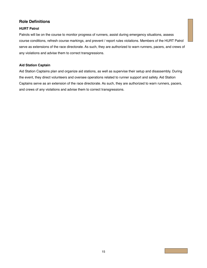#### <span id="page-16-0"></span>**Role Definitions**

#### <span id="page-16-1"></span>**HURT Patrol**

Patrols will be on the course to monitor progress of runners, assist during emergency situations, assess course conditions, refresh course markings, and prevent / report rules violations. Members of the HURT Patrol serve as extensions of the race directorate. As such, they are authorized to warn runners, pacers, and crews of any violations and advise them to correct transgressions.

#### <span id="page-16-2"></span>**Aid Station Captain**

Aid Station Captains plan and organize aid stations, as well as supervise their setup and disassembly. During the event, they direct volunteers and oversee operations related to runner support and safety. Aid Station Captains serve as an extension of the race directorate. As such, they are authorized to warn runners, pacers, and crews of any violations and advise them to correct transgressions.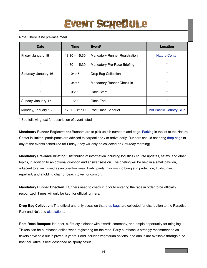#### <span id="page-17-0"></span>Note: There is no pre-race meal.

| Date                 | <b>Time</b>     | Event <sup>1</sup>                   | Location                        |
|----------------------|-----------------|--------------------------------------|---------------------------------|
| Friday, January 15   | $13:30 - 15:30$ | <b>Mandatory Runner Registration</b> | <b>Nature Center</b>            |
| $\epsilon$           | $14:30 - 15:30$ | <b>Mandatory Pre-Race Briefing</b>   | $\epsilon\epsilon$              |
| Saturday, January 16 | 04:45           | Drop Bag Collection                  | $\epsilon\epsilon$              |
| $\epsilon$           | 04:45           | <b>Mandatory Runner Check-in</b>     | $\epsilon\epsilon$              |
| $\epsilon$           | 06:00           | Race Start                           | "                               |
| Sunday, January 17   | 18:00           | Race End                             | $\epsilon\epsilon$              |
| Monday, January 18   | $17:00 - 21:00$ | Post-Race Banquet                    | <b>Mid Pacific Country Club</b> |

1 See following text for description of event listed

<span id="page-17-2"></span>**Mandatory Runner Registration:** Runners are to pick up bib numbers and bags. [Parking](#page-9-0) in the lot at the Nature Center is limited; participants are advised to carpool and / or arrive early. Runners should not bring [drop bags](#page-8-2) to any of the events scheduled for Friday (they will only be collected on Saturday morning).

<span id="page-17-1"></span>**Mandatory Pre-Race Briefing:** Distribution of information including logistics / course updates, safety, and other topics, in addition to an optional question and answer session. The briefing will be held in a small pavilion, adjacent to a lawn used as an overflow area. Participants may wish to bring sun protection, fluids, insect repellant, and a folding chair or beach towel for comfort.

<span id="page-17-3"></span>**Mandatory Runner Check-in:** Runners need to check in prior to entering the race in order to be officially recognized. Times will only be kept for official runners.

**Drop Bag Collection:** The official and only occasion that [drop bags](#page-8-2) are collected for distribution to the Paradise Park and Nu'uanu [aid stations](#page-8-1).

**Post-Race Banquet:** No-host, buffet-style dinner with awards ceremony, and ample opportunity for mingling. Tickets can be purchased online when registering for the race. Early purchase is strongly recommended as tickets have sold out in previous years. Food includes vegetarian options, and drinks are available through a nohost bar. Attire is best described as sporty casual.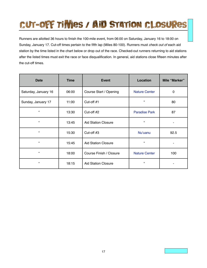## <span id="page-18-0"></span>**Cut-off times / Aid station closures**

Runners are allotted 36 hours to finish the 100-mile event, from 06:00 on Saturday, January 16 to 18:00 on Sunday, January 17. Cut-off times pertain to the fifth lap (Miles 80-100). Runners must *check out of* each aid station by the time listed in the chart below or drop out of the race. Checked-out runners returning to aid stations after the listed times must exit the race or face disqualification. In general, aid stations close fifteen minutes after the cut-off times.

| <b>Date</b>          | <b>Time</b> | <b>Event</b>               | Location             | Mile "Marker" |
|----------------------|-------------|----------------------------|----------------------|---------------|
| Saturday, January 16 | 06:00       | Course Start / Opening     | <b>Nature Center</b> | 0             |
| Sunday, January 17   | 11:00       | Cut-off #1                 | $\epsilon$           | 80            |
| $\epsilon$           | 13:30       | Cut-off #2                 | <b>Paradise Park</b> | 87            |
| $\alpha$             | 13:45       | <b>Aid Station Closure</b> | $\epsilon$           |               |
| $\epsilon\epsilon$   | 15:30       | Cut-off $#3$               | Nu'uanu              | 92.5          |
| $\epsilon\epsilon$   | 15:45       | <b>Aid Station Closure</b> | $\epsilon$           | ٠             |
| $\epsilon\epsilon$   | 18:00       | Course Finish / Closure    | <b>Nature Center</b> | 100           |
| $\epsilon\epsilon$   | 18:15       | <b>Aid Station Closure</b> | $\pmb{\epsilon}$     |               |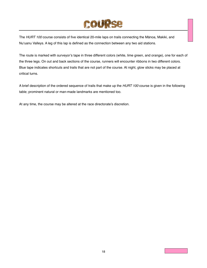### COURS

<span id="page-19-0"></span>The *HURT 100* course consists of five identical 20-mile laps on trails connecting the Mānoa, Makiki, and Nu'uanu Valleys. A leg of this lap is defined as the connection between any two aid stations.

The route is marked with surveyor's tape in three different colors (white, lime green, and orange), one for each of the three legs. On out and back sections of the course, runners will encounter ribbons in two different colors. Blue tape indicates shortcuts and trails that are not part of the course. At night, glow sticks may be placed at critical turns.

A brief description of the ordered sequence of trails that make up the *HURT 100* course is given in the following table; prominent natural or man-made landmarks are mentioned too.

At any time, the course may be altered at the race directorate's discretion.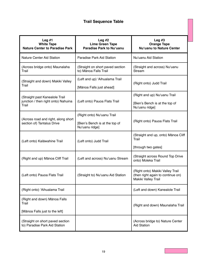### **Trail Sequence Table**

| Leg $#1$<br><b>White Tape</b><br><b>Nature Center to Paradise Park</b>         | Leg $#2$<br><b>Lime Green Tape</b><br>Paradise Park to Nu'uanu                 | Leg $#3$<br><b>Orange Tape</b><br>Nu'uanu to Nature Center                                   |
|--------------------------------------------------------------------------------|--------------------------------------------------------------------------------|----------------------------------------------------------------------------------------------|
| <b>Nature Center Aid Station</b>                                               | Paradise Park Aid Station                                                      | Nu'uanu Aid Station                                                                          |
| (Across bridge onto) Maunalaha<br>Trail                                        | (Straight on short paved section<br>to) Mānoa Falls Trail                      | (Straight and across) Nu'uanu<br>Stream                                                      |
| (Straight and down) Makiki Valley<br>Trail                                     | (Left and up) 'Aihualama Trail<br>[Mānoa Falls just ahead]                     | (Right onto) Judd Trail                                                                      |
| (Straight past Kanealole Trail<br>junction / then right onto) Nahuina<br>Trail | (Left onto) Pauoa Flats Trail                                                  | (Right and up) Nu'uanu Trail<br>[Bien's Bench is at the top of<br>Nu'uanu ridge]             |
| (Across road and right, along short<br>section of) Tantalus Drive              | (Right onto) Nu'uanu Trail<br>[Bien's Bench is at the top of<br>Nu'uanu ridge] | (Right onto) Pauoa Flats Trail                                                               |
| (Left onto) Kalāwahine Trail                                                   | (Left onto) Judd Trail                                                         | (Straight and up, onto) Mānoa Cliff<br>Trail<br>[through two gates]                          |
| (Right and up) Mānoa Cliff Trail                                               | (Left and across) Nu'uanu Stream                                               | (Straight across Round Top Drive<br>onto) Moleka Trail                                       |
| (Left onto) Pauoa Flats Trail                                                  | (Straight to) Nu'uanu Aid Station                                              | (Right onto) Makiki Valley Trail<br>(then right again to continue on)<br>Makiki Valley Trail |
| (Right onto) 'Aihualama Trail                                                  |                                                                                | (Left and down) Kanealole Trail                                                              |
| (Right and down) Mānoa Falls<br>Trail<br>[Mānoa Falls just to the left]        |                                                                                | (Right and down) Maunalaha Trail                                                             |
| (Straight on short paved section<br>to) Paradise Park Aid Station              |                                                                                | (Across bridge to) Nature Center<br><b>Aid Station</b>                                       |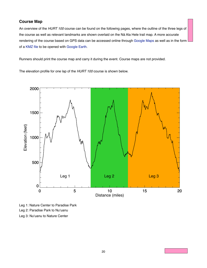#### <span id="page-21-0"></span>**Course Map**

An overview of the *HURT 100* course can be found on the following pages, where the outline of the three legs of the course as well as relevant landmarks are shown overlaid on the Nā Ala Hele trail map. A more accurate rendering of the course based on GPS data can be accessed online through [Google Maps](http://maps.google.com/maps/ms?ie=UTF&msa=0&msid=208078662794040507915.0004a74e3e82f3bd15560) as well as in the form of a [KMZ file](http://hurthawaii.blogs.com/HURT100-2012.kmz) to be opened with [Google Earth](http://www.google.com/earth/download/ge/.).

Runners should print the course map and carry it during the event. Course maps are not provided.

<span id="page-21-1"></span>The elevation profile for one lap of the *HURT 100* course is shown below.



Leg 1: Nature Center to Paradise Park Leg 2: Paradise Park to Nu'uanu Leg 3: Nu'uanu to Nature Center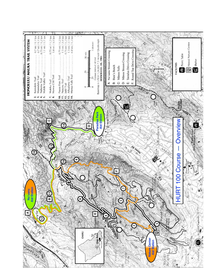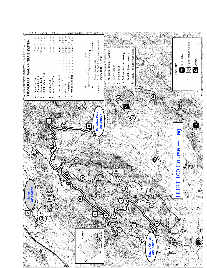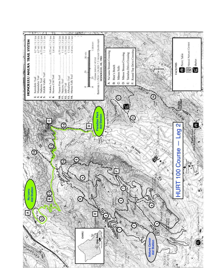